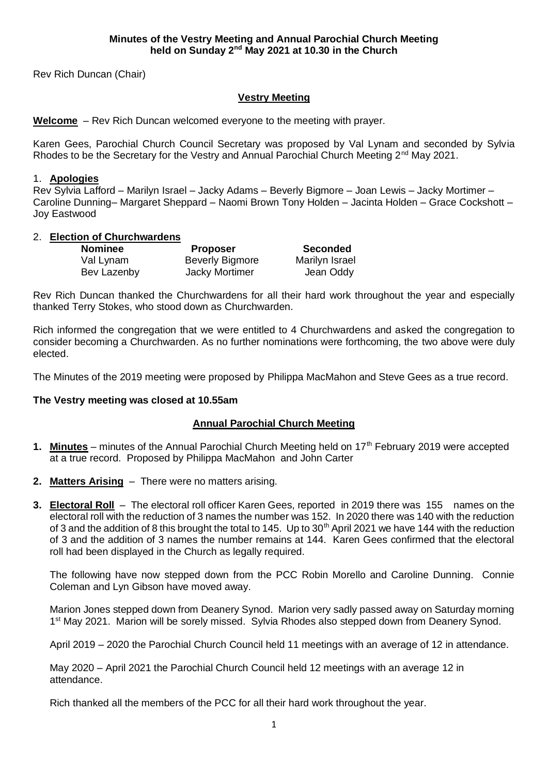Rev Rich Duncan (Chair)

## **Vestry Meeting**

**Welcome** – Rev Rich Duncan welcomed everyone to the meeting with prayer.

Karen Gees, Parochial Church Council Secretary was proposed by Val Lynam and seconded by Sylvia Rhodes to be the Secretary for the Vestry and Annual Parochial Church Meeting 2<sup>nd</sup> May 2021.

## 1. **Apologies**

Rev Sylvia Lafford – Marilyn Israel – Jacky Adams – Beverly Bigmore – Joan Lewis – Jacky Mortimer – Caroline Dunning– Margaret Sheppard – Naomi Brown Tony Holden – Jacinta Holden – Grace Cockshott – Joy Eastwood

## 2. **Election of Churchwardens**

| <b>Nominee</b> | <b>Proposer</b>        | <b>Seconded</b> |
|----------------|------------------------|-----------------|
| Val Lynam      | <b>Beverly Bigmore</b> | Marilyn Israel  |
| Bev Lazenby    | Jacky Mortimer         | Jean Oddy       |

Rev Rich Duncan thanked the Churchwardens for all their hard work throughout the year and especially thanked Terry Stokes, who stood down as Churchwarden.

Rich informed the congregation that we were entitled to 4 Churchwardens and asked the congregation to consider becoming a Churchwarden. As no further nominations were forthcoming, the two above were duly elected.

The Minutes of the 2019 meeting were proposed by Philippa MacMahon and Steve Gees as a true record.

## **The Vestry meeting was closed at 10.55am**

## **Annual Parochial Church Meeting**

- **1. Minutes** minutes of the Annual Parochial Church Meeting held on 17th February 2019 were accepted at a true record. Proposed by Philippa MacMahon and John Carter
- **2. Matters Arising** There were no matters arising.
- **3. Electoral Roll** The electoral roll officer Karen Gees, reported in 2019 there was 155 names on the electoral roll with the reduction of 3 names the number was 152. In 2020 there was 140 with the reduction of 3 and the addition of 8 this brought the total to 145. Up to 30<sup>th</sup> April 2021 we have 144 with the reduction of 3 and the addition of 3 names the number remains at 144. Karen Gees confirmed that the electoral roll had been displayed in the Church as legally required.

The following have now stepped down from the PCC Robin Morello and Caroline Dunning. Connie Coleman and Lyn Gibson have moved away.

Marion Jones stepped down from Deanery Synod. Marion very sadly passed away on Saturday morning 1<sup>st</sup> May 2021. Marion will be sorely missed. Sylvia Rhodes also stepped down from Deanery Synod.

April 2019 – 2020 the Parochial Church Council held 11 meetings with an average of 12 in attendance.

May 2020 – April 2021 the Parochial Church Council held 12 meetings with an average 12 in attendance.

Rich thanked all the members of the PCC for all their hard work throughout the year.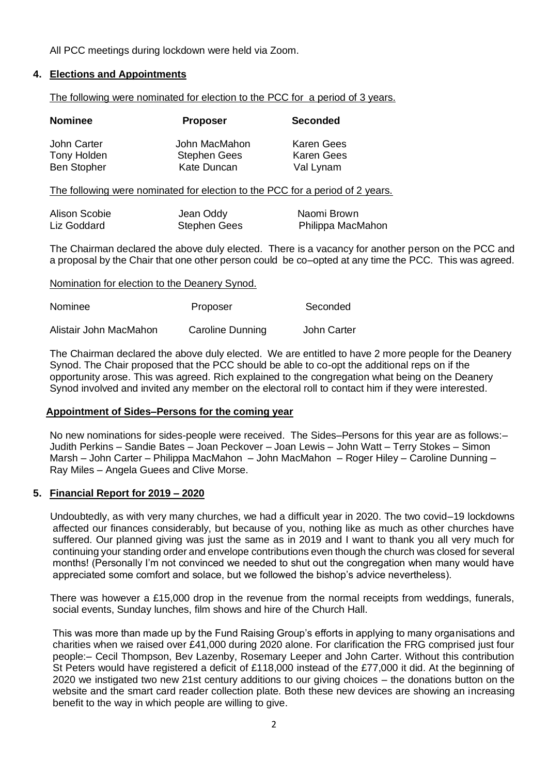All PCC meetings during lockdown were held via Zoom.

## **4. Elections and Appointments**

The following were nominated for election to the PCC for a period of 3 years.

| <b>Nominee</b>     | <b>Proposer</b>     | <b>Seconded</b>   |
|--------------------|---------------------|-------------------|
| John Carter        | John MacMahon       | Karen Gees        |
| Tony Holden        | <b>Stephen Gees</b> | <b>Karen Gees</b> |
| <b>Ben Stopher</b> | <b>Kate Duncan</b>  | Val Lynam         |

The following were nominated for election to the PCC for a period of 2 years.

| Alison Scobie | Jean Oddy           | Naomi Brown       |
|---------------|---------------------|-------------------|
| Liz Goddard   | <b>Stephen Gees</b> | Philippa MacMahon |

The Chairman declared the above duly elected. There is a vacancy for another person on the PCC and a proposal by the Chair that one other person could be co–opted at any time the PCC. This was agreed.

## Nomination for election to the Deanery Synod.

| Nominee                | Proposer         | Seconded    |
|------------------------|------------------|-------------|
| Alistair John MacMahon | Caroline Dunning | John Carter |

The Chairman declared the above duly elected. We are entitled to have 2 more people for the Deanery Synod. The Chair proposed that the PCC should be able to co-opt the additional reps on if the opportunity arose. This was agreed. Rich explained to the congregation what being on the Deanery Synod involved and invited any member on the electoral roll to contact him if they were interested.

## **Appointment of Sides–Persons for the coming year**

No new nominations for sides-people were received. The Sides–Persons for this year are as follows:– Judith Perkins – Sandie Bates – Joan Peckover – Joan Lewis – John Watt – Terry Stokes – Simon Marsh – John Carter – Philippa MacMahon – John MacMahon – Roger Hiley – Caroline Dunning – Ray Miles – Angela Guees and Clive Morse.

## **5. Financial Report for 2019 – 2020**

Undoubtedly, as with very many churches, we had a difficult year in 2020. The two covid–19 lockdowns affected our finances considerably, but because of you, nothing like as much as other churches have suffered. Our planned giving was just the same as in 2019 and I want to thank you all very much for continuing your standing order and envelope contributions even though the church was closed for several months! (Personally I'm not convinced we needed to shut out the congregation when many would have appreciated some comfort and solace, but we followed the bishop's advice nevertheless).

 There was however a £15,000 drop in the revenue from the normal receipts from weddings, funerals, social events, Sunday lunches, film shows and hire of the Church Hall.

This was more than made up by the Fund Raising Group's efforts in applying to many organisations and charities when we raised over £41,000 during 2020 alone. For clarification the FRG comprised just four people:– Cecil Thompson, Bev Lazenby, Rosemary Leeper and John Carter. Without this contribution St Peters would have registered a deficit of £118,000 instead of the £77,000 it did. At the beginning of 2020 we instigated two new 21st century additions to our giving choices – the donations button on the website and the smart card reader collection plate. Both these new devices are showing an increasing benefit to the way in which people are willing to give.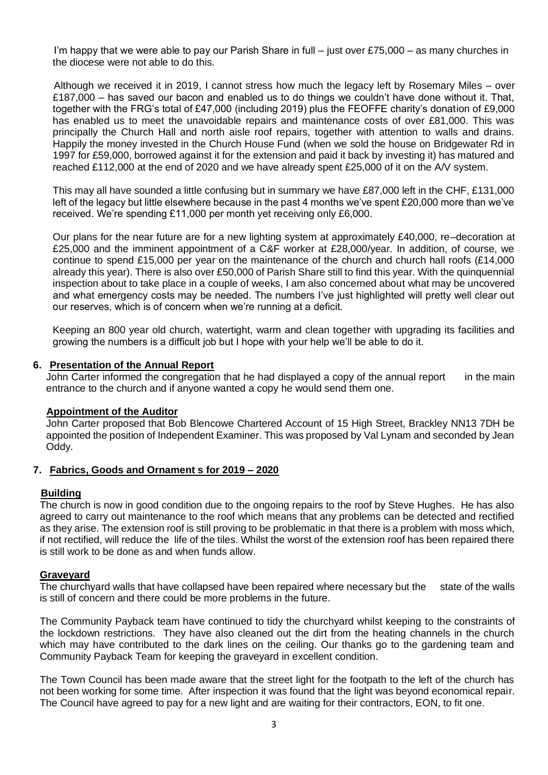I'm happy that we were able to pay our Parish Share in full – just over £75,000 – as many churches in the diocese were not able to do this.

 Although we received it in 2019, I cannot stress how much the legacy left by Rosemary Miles – over £187,000 – has saved our bacon and enabled us to do things we couldn't have done without it. That, together with the FRG's total of £47,000 (including 2019) plus the FEOFFE charity's donation of £9,000 has enabled us to meet the unavoidable repairs and maintenance costs of over £81,000. This was principally the Church Hall and north aisle roof repairs, together with attention to walls and drains. Happily the money invested in the Church House Fund (when we sold the house on Bridgewater Rd in 1997 for £59,000, borrowed against it for the extension and paid it back by investing it) has matured and reached £112,000 at the end of 2020 and we have already spent £25,000 of it on the A/V system.

This may all have sounded a little confusing but in summary we have £87,000 left in the CHF, £131,000 left of the legacy but little elsewhere because in the past 4 months we've spent £20,000 more than we've received. We're spending £11,000 per month yet receiving only £6,000.

Our plans for the near future are for a new lighting system at approximately £40,000, re–decoration at £25,000 and the imminent appointment of a C&F worker at £28,000/year. In addition, of course, we continue to spend £15,000 per year on the maintenance of the church and church hall roofs (£14,000 already this year). There is also over £50,000 of Parish Share still to find this year. With the quinquennial inspection about to take place in a couple of weeks, I am also concerned about what may be uncovered and what emergency costs may be needed. The numbers I've just highlighted will pretty well clear out our reserves, which is of concern when we're running at a deficit.

Keeping an 800 year old church, watertight, warm and clean together with upgrading its facilities and growing the numbers is a difficult job but I hope with your help we'll be able to do it.

## **6. Presentation of the Annual Report**

John Carter informed the congregation that he had displayed a copy of the annual report in the main entrance to the church and if anyone wanted a copy he would send them one.

#### **Appointment of the Auditor**

John Carter proposed that Bob Blencowe Chartered Account of 15 High Street, Brackley NN13 7DH be appointed the position of Independent Examiner. This was proposed by Val Lynam and seconded by Jean Oddy.

## **7. Fabrics, Goods and Ornament s for 2019 – 2020**

#### **Building**

The church is now in good condition due to the ongoing repairs to the roof by Steve Hughes. He has also agreed to carry out maintenance to the roof which means that any problems can be detected and rectified as they arise. The extension roof is still proving to be problematic in that there is a problem with moss which, if not rectified, will reduce the life of the tiles. Whilst the worst of the extension roof has been repaired there is still work to be done as and when funds allow.

#### **Graveyard**

The churchyard walls that have collapsed have been repaired where necessary but the state of the walls is still of concern and there could be more problems in the future.

The Community Payback team have continued to tidy the churchyard whilst keeping to the constraints of the lockdown restrictions. They have also cleaned out the dirt from the heating channels in the church which may have contributed to the dark lines on the ceiling. Our thanks go to the gardening team and Community Payback Team for keeping the graveyard in excellent condition.

The Town Council has been made aware that the street light for the footpath to the left of the church has not been working for some time. After inspection it was found that the light was beyond economical repair. The Council have agreed to pay for a new light and are waiting for their contractors, EON, to fit one.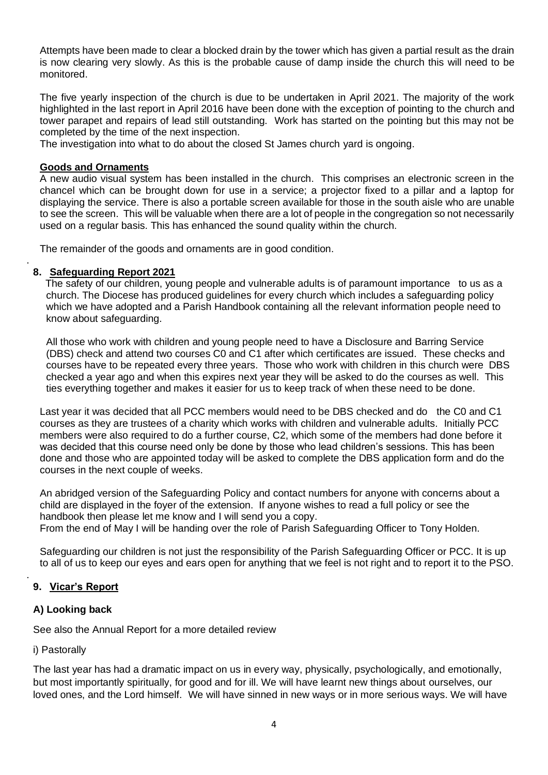Attempts have been made to clear a blocked drain by the tower which has given a partial result as the drain is now clearing very slowly. As this is the probable cause of damp inside the church this will need to be monitored.

The five yearly inspection of the church is due to be undertaken in April 2021. The majority of the work highlighted in the last report in April 2016 have been done with the exception of pointing to the church and tower parapet and repairs of lead still outstanding. Work has started on the pointing but this may not be completed by the time of the next inspection.

The investigation into what to do about the closed St James church yard is ongoing.

## **Goods and Ornaments**

A new audio visual system has been installed in the church. This comprises an electronic screen in the chancel which can be brought down for use in a service; a projector fixed to a pillar and a laptop for displaying the service. There is also a portable screen available for those in the south aisle who are unable to see the screen. This will be valuable when there are a lot of people in the congregation so not necessarily used on a regular basis. This has enhanced the sound quality within the church.

The remainder of the goods and ornaments are in good condition.

## **8. Safeguarding Report 2021**

.

 The safety of our children, young people and vulnerable adults is of paramount importance to us as a church. The Diocese has produced guidelines for every church which includes a safeguarding policy which we have adopted and a Parish Handbook containing all the relevant information people need to know about safeguarding.

All those who work with children and young people need to have a Disclosure and Barring Service (DBS) check and attend two courses C0 and C1 after which certificates are issued. These checks and courses have to be repeated every three years. Those who work with children in this church were DBS checked a year ago and when this expires next year they will be asked to do the courses as well. This ties everything together and makes it easier for us to keep track of when these need to be done.

Last year it was decided that all PCC members would need to be DBS checked and do the C0 and C1 courses as they are trustees of a charity which works with children and vulnerable adults. Initially PCC members were also required to do a further course, C2, which some of the members had done before it was decided that this course need only be done by those who lead children's sessions. This has been done and those who are appointed today will be asked to complete the DBS application form and do the courses in the next couple of weeks.

An abridged version of the Safeguarding Policy and contact numbers for anyone with concerns about a child are displayed in the foyer of the extension. If anyone wishes to read a full policy or see the handbook then please let me know and I will send you a copy. From the end of May I will be handing over the role of Parish Safeguarding Officer to Tony Holden.

Safeguarding our children is not just the responsibility of the Parish Safeguarding Officer or PCC. It is up to all of us to keep our eyes and ears open for anything that we feel is not right and to report it to the PSO.

# **9. Vicar's Report**

## **A) Looking back**

See also the Annual Report for a more detailed review

## i) Pastorally

.

The last year has had a dramatic impact on us in every way, physically, psychologically, and emotionally, but most importantly spiritually, for good and for ill. We will have learnt new things about ourselves, our loved ones, and the Lord himself. We will have sinned in new ways or in more serious ways. We will have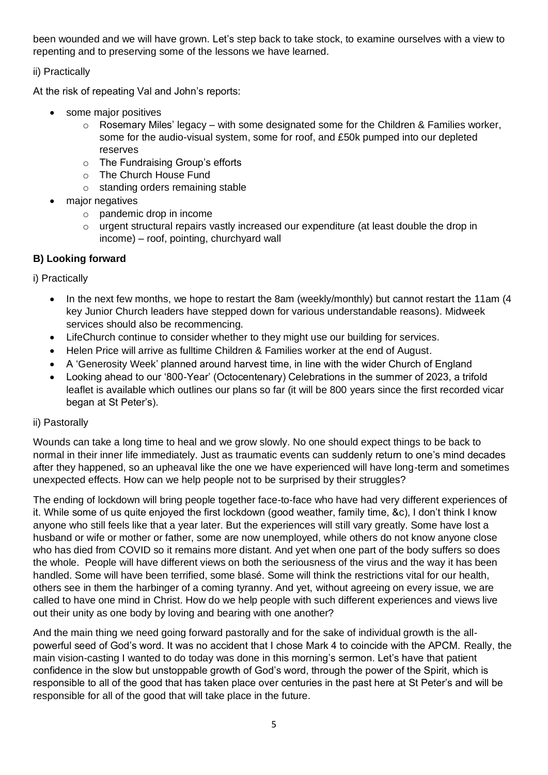been wounded and we will have grown. Let's step back to take stock, to examine ourselves with a view to repenting and to preserving some of the lessons we have learned.

ii) Practically

At the risk of repeating Val and John's reports:

- some major positives
	- $\circ$  Rosemary Miles' legacy with some designated some for the Children & Families worker, some for the audio-visual system, some for roof, and £50k pumped into our depleted reserves
	- o The Fundraising Group's efforts
	- o The Church House Fund
	- o standing orders remaining stable
- major negatives
	- o pandemic drop in income
	- o urgent structural repairs vastly increased our expenditure (at least double the drop in income) – roof, pointing, churchyard wall

# **B) Looking forward**

i) Practically

- In the next few months, we hope to restart the 8am (weekly/monthly) but cannot restart the 11am (4 key Junior Church leaders have stepped down for various understandable reasons). Midweek services should also be recommencing.
- LifeChurch continue to consider whether to they might use our building for services.
- Helen Price will arrive as fulltime Children & Families worker at the end of August.
- A 'Generosity Week' planned around harvest time, in line with the wider Church of England
- Looking ahead to our '800-Year' (Octocentenary) Celebrations in the summer of 2023, a trifold leaflet is available which outlines our plans so far (it will be 800 years since the first recorded vicar began at St Peter's).

# ii) Pastorally

Wounds can take a long time to heal and we grow slowly. No one should expect things to be back to normal in their inner life immediately. Just as traumatic events can suddenly return to one's mind decades after they happened, so an upheaval like the one we have experienced will have long-term and sometimes unexpected effects. How can we help people not to be surprised by their struggles?

The ending of lockdown will bring people together face-to-face who have had very different experiences of it. While some of us quite enjoyed the first lockdown (good weather, family time, &c), I don't think I know anyone who still feels like that a year later. But the experiences will still vary greatly. Some have lost a husband or wife or mother or father, some are now unemployed, while others do not know anyone close who has died from COVID so it remains more distant. And yet when one part of the body suffers so does the whole. People will have different views on both the seriousness of the virus and the way it has been handled. Some will have been terrified, some blasé. Some will think the restrictions vital for our health, others see in them the harbinger of a coming tyranny. And yet, without agreeing on every issue, we are called to have one mind in Christ. How do we help people with such different experiences and views live out their unity as one body by loving and bearing with one another?

And the main thing we need going forward pastorally and for the sake of individual growth is the allpowerful seed of God's word. It was no accident that I chose Mark 4 to coincide with the APCM. Really, the main vision-casting I wanted to do today was done in this morning's sermon. Let's have that patient confidence in the slow but unstoppable growth of God's word, through the power of the Spirit, which is responsible to all of the good that has taken place over centuries in the past here at St Peter's and will be responsible for all of the good that will take place in the future.